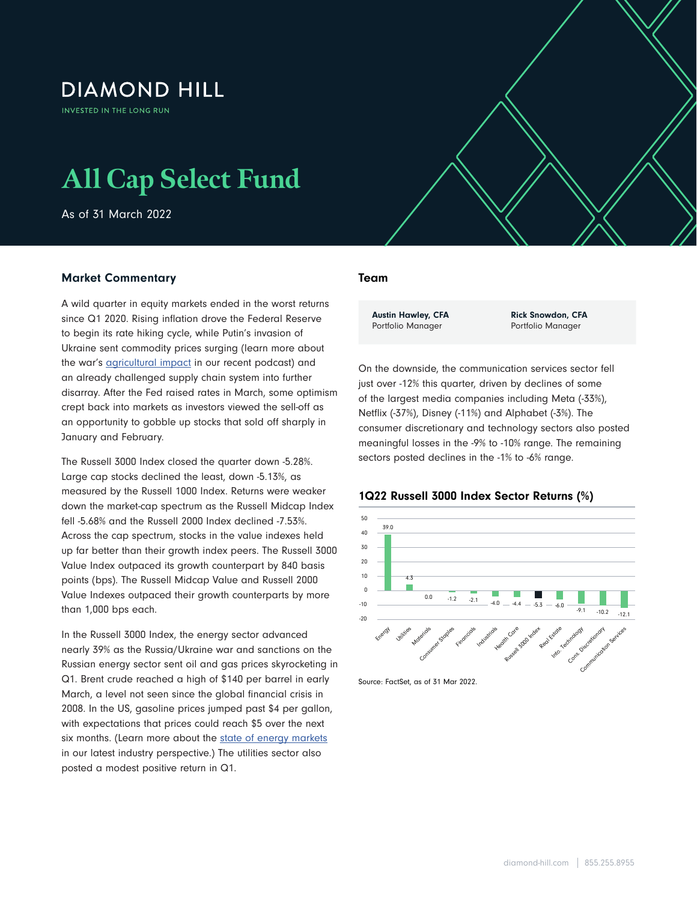## **DIAMOND HILL**

**INVESTED IN THE LONG RUN** 

# **All Cap Select Fund**

As of 31 March 2022

### Market Commentary

A wild quarter in equity markets ended in the worst returns since Q1 2020. Rising inflation drove the Federal Reserve to begin its rate hiking cycle, while Putin's invasion of Ukraine sent commodity prices surging (learn more about the war's **agricultural impact** in our recent podcast) and an already challenged supply chain system into further disarray. After the Fed raised rates in March, some optimism crept back into markets as investors viewed the sell-off as an opportunity to gobble up stocks that sold off sharply in January and February.

The Russell 3000 Index closed the quarter down -5.28%. Large cap stocks declined the least, down -5.13%, as measured by the Russell 1000 Index. Returns were weaker down the market-cap spectrum as the Russell Midcap Index fell -5.68% and the Russell 2000 Index declined -7.53%. Across the cap spectrum, stocks in the value indexes held up far better than their growth index peers. The Russell 3000 Value Index outpaced its growth counterpart by 840 basis points (bps). The Russell Midcap Value and Russell 2000 Value Indexes outpaced their growth counterparts by more than 1,000 bps each.

In the Russell 3000 Index, the energy sector advanced nearly 39% as the Russia/Ukraine war and sanctions on the Russian energy sector sent oil and gas prices skyrocketing in Q1. Brent crude reached a high of \$140 per barrel in early March, a level not seen since the global financial crisis in 2008. In the US, gasoline prices jumped past \$4 per gallon, with expectations that prices could reach \$5 over the next six months. (Learn more about the [state of energy markets](https://www.diamond-hill.com/insights/a-400/geopolitics-the-state-of-energy-markets-today.fs) in our latest industry perspective.) The utilities sector also posted a modest positive return in Q1.

#### Team

 $\mathcal{A}$  Select Fund As of 31 March 2022  $\mathcal{A}$ 

Austin Hawley, CFA Portfolio Manager

Rick Snowdon, CFA Portfolio Manager

On the downside, the communication services sector fell just over -12% this quarter, driven by declines of some of the largest media companies including Meta (-33%), Netflix (-37%), Disney (-11%) and Alphabet (-3%). The consumer discretionary and technology sectors also posted meaningful losses in the -9% to -10% range. The remaining sectors posted declines in the -1% to -6% range.





Source: FactSet, as of 31 Mar 2022.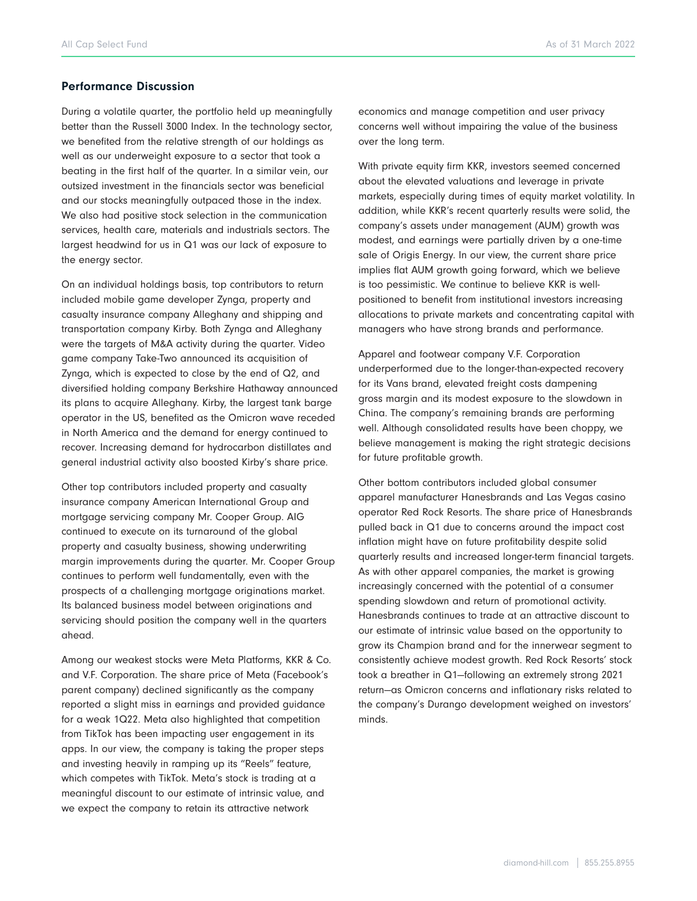#### Performance Discussion

During a volatile quarter, the portfolio held up meaningfully better than the Russell 3000 Index. In the technology sector, we benefited from the relative strength of our holdings as well as our underweight exposure to a sector that took a beating in the first half of the quarter. In a similar vein, our outsized investment in the financials sector was beneficial and our stocks meaningfully outpaced those in the index. We also had positive stock selection in the communication services, health care, materials and industrials sectors. The largest headwind for us in Q1 was our lack of exposure to the energy sector.

On an individual holdings basis, top contributors to return included mobile game developer Zynga, property and casualty insurance company Alleghany and shipping and transportation company Kirby. Both Zynga and Alleghany were the targets of M&A activity during the quarter. Video game company Take-Two announced its acquisition of Zynga, which is expected to close by the end of Q2, and diversified holding company Berkshire Hathaway announced its plans to acquire Alleghany. Kirby, the largest tank barge operator in the US, benefited as the Omicron wave receded in North America and the demand for energy continued to recover. Increasing demand for hydrocarbon distillates and general industrial activity also boosted Kirby's share price.

Other top contributors included property and casualty insurance company American International Group and mortgage servicing company Mr. Cooper Group. AIG continued to execute on its turnaround of the global property and casualty business, showing underwriting margin improvements during the quarter. Mr. Cooper Group continues to perform well fundamentally, even with the prospects of a challenging mortgage originations market. Its balanced business model between originations and servicing should position the company well in the quarters ahead.

Among our weakest stocks were Meta Platforms, KKR & Co. and V.F. Corporation. The share price of Meta (Facebook's parent company) declined significantly as the company reported a slight miss in earnings and provided guidance for a weak 1Q22. Meta also highlighted that competition from TikTok has been impacting user engagement in its apps. In our view, the company is taking the proper steps and investing heavily in ramping up its "Reels" feature, which competes with TikTok. Meta's stock is trading at a meaningful discount to our estimate of intrinsic value, and we expect the company to retain its attractive network

economics and manage competition and user privacy concerns well without impairing the value of the business over the long term.

With private equity firm KKR, investors seemed concerned about the elevated valuations and leverage in private markets, especially during times of equity market volatility. In addition, while KKR's recent quarterly results were solid, the company's assets under management (AUM) growth was modest, and earnings were partially driven by a one-time sale of Origis Energy. In our view, the current share price implies flat AUM growth going forward, which we believe is too pessimistic. We continue to believe KKR is wellpositioned to benefit from institutional investors increasing allocations to private markets and concentrating capital with managers who have strong brands and performance.

Apparel and footwear company V.F. Corporation underperformed due to the longer-than-expected recovery for its Vans brand, elevated freight costs dampening gross margin and its modest exposure to the slowdown in China. The company's remaining brands are performing well. Although consolidated results have been choppy, we believe management is making the right strategic decisions for future profitable growth.

Other bottom contributors included global consumer apparel manufacturer Hanesbrands and Las Vegas casino operator Red Rock Resorts. The share price of Hanesbrands pulled back in Q1 due to concerns around the impact cost inflation might have on future profitability despite solid quarterly results and increased longer-term financial targets. As with other apparel companies, the market is growing increasingly concerned with the potential of a consumer spending slowdown and return of promotional activity. Hanesbrands continues to trade at an attractive discount to our estimate of intrinsic value based on the opportunity to grow its Champion brand and for the innerwear segment to consistently achieve modest growth. Red Rock Resorts' stock took a breather in Q1—following an extremely strong 2021 return—as Omicron concerns and inflationary risks related to the company's Durango development weighed on investors' minds.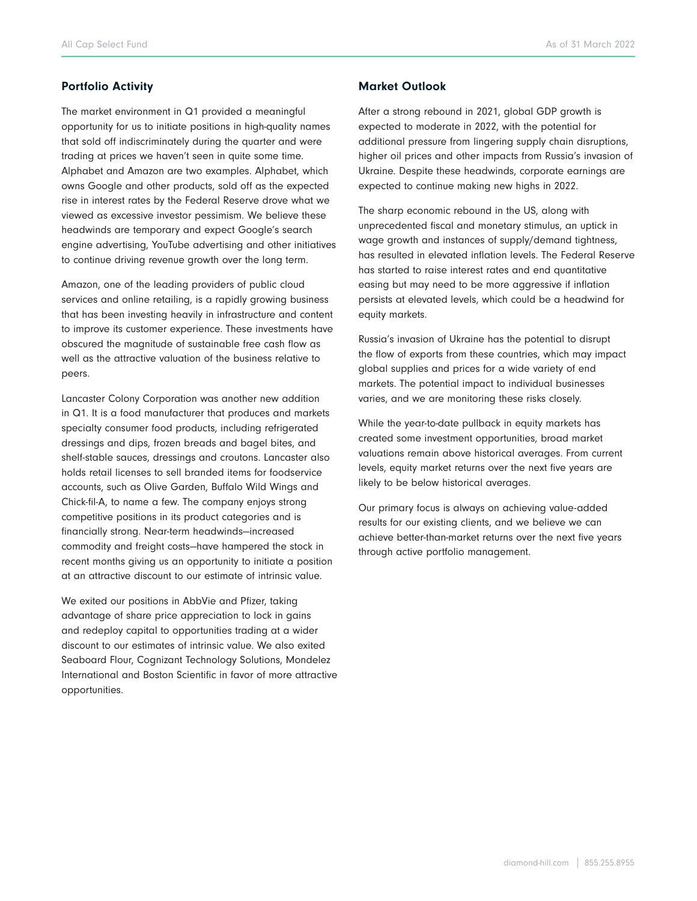### Portfolio Activity

The market environment in Q1 provided a meaningful opportunity for us to initiate positions in high-quality names that sold off indiscriminately during the quarter and were trading at prices we haven't seen in quite some time. Alphabet and Amazon are two examples. Alphabet, which owns Google and other products, sold off as the expected rise in interest rates by the Federal Reserve drove what we viewed as excessive investor pessimism. We believe these headwinds are temporary and expect Google's search engine advertising, YouTube advertising and other initiatives to continue driving revenue growth over the long term.

Amazon, one of the leading providers of public cloud services and online retailing, is a rapidly growing business that has been investing heavily in infrastructure and content to improve its customer experience. These investments have obscured the magnitude of sustainable free cash flow as well as the attractive valuation of the business relative to peers.

Lancaster Colony Corporation was another new addition in Q1. It is a food manufacturer that produces and markets specialty consumer food products, including refrigerated dressings and dips, frozen breads and bagel bites, and shelf-stable sauces, dressings and croutons. Lancaster also holds retail licenses to sell branded items for foodservice accounts, such as Olive Garden, Buffalo Wild Wings and Chick-fil-A, to name a few. The company enjoys strong competitive positions in its product categories and is financially strong. Near-term headwinds—increased commodity and freight costs—have hampered the stock in recent months giving us an opportunity to initiate a position at an attractive discount to our estimate of intrinsic value.

We exited our positions in AbbVie and Pfizer, taking advantage of share price appreciation to lock in gains and redeploy capital to opportunities trading at a wider discount to our estimates of intrinsic value. We also exited Seaboard Flour, Cognizant Technology Solutions, Mondelez International and Boston Scientific in favor of more attractive opportunities.

#### Market Outlook

After a strong rebound in 2021, global GDP growth is expected to moderate in 2022, with the potential for additional pressure from lingering supply chain disruptions, higher oil prices and other impacts from Russia's invasion of Ukraine. Despite these headwinds, corporate earnings are expected to continue making new highs in 2022.

The sharp economic rebound in the US, along with unprecedented fiscal and monetary stimulus, an uptick in wage growth and instances of supply/demand tightness, has resulted in elevated inflation levels. The Federal Reserve has started to raise interest rates and end quantitative easing but may need to be more aggressive if inflation persists at elevated levels, which could be a headwind for equity markets.

Russia's invasion of Ukraine has the potential to disrupt the flow of exports from these countries, which may impact global supplies and prices for a wide variety of end markets. The potential impact to individual businesses varies, and we are monitoring these risks closely.

While the year-to-date pullback in equity markets has created some investment opportunities, broad market valuations remain above historical averages. From current levels, equity market returns over the next five years are likely to be below historical averages.

Our primary focus is always on achieving value-added results for our existing clients, and we believe we can achieve better-than-market returns over the next five years through active portfolio management.